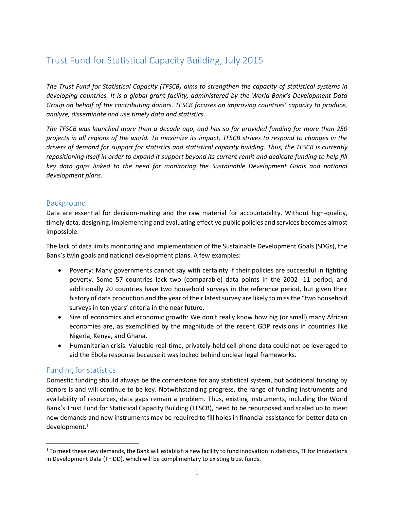# Trust Fund for Statistical Capacity Building, July 2015

*The Trust Fund for Statistical Capacity (TFSCB) aims to strengthen the capacity of statistical systems in developing countries. It is a global grant facility, administered by the World Bank's Development Data Group on behalf of the contributing donors. TFSCB focuses on improving countries' capacity to produce, analyze, disseminate and use timely data and statistics.* 

*The TFSCB was launched more than a decade ago, and has so far provided funding for more than 250 projects in all regions of the world. To maximize its impact, TFSCB strives to respond to changes in the drivers of demand for support for statistics and statistical capacity building. Thus, the TFSCB is currently repositioning itself in order to expand it support beyond its current remit and dedicate funding to help fill key data gaps linked to the need for monitoring the Sustainable Development Goals and national development plans.*

# Background

Data are essential for decision-making and the raw material for accountability. Without high-quality, timely data, designing, implementing and evaluating effective public policies and services becomes almost impossible.

The lack of data limits monitoring and implementation of the Sustainable Development Goals (SDGs), the Bank's twin goals and national development plans. A few examples:

- Poverty: Many governments cannot say with certainty if their policies are successful in fighting poverty. Some 57 countries lack two (comparable) data points in the 2002 -11 period, and additionally 20 countries have two household surveys in the reference period, but given their history of data production and the year of their latest survey are likely to miss the "two household surveys in ten years' criteria in the near future.
- Size of economics and economic growth: We don't really know how big (or small) many African economies are, as exemplified by the magnitude of the recent GDP revisions in countries like Nigeria, Kenya, and Ghana.
- Humanitarian crisis: Valuable real-time, privately-held cell phone data could not be leveraged to aid the Ebola response because it was locked behind unclear legal frameworks.

# Funding for statistics

l

Domestic funding should always be the cornerstone for any statistical system, but additional funding by donors is and will continue to be key. Notwithstanding progress, the range of funding instruments and availability of resources, data gaps remain a problem. Thus, existing instruments, including the World Bank's Trust Fund for Statistical Capacity Building (TFSCB), need to be repurposed and scaled up to meet new demands and new instruments may be required to fill holes in financial assistance for better data on development. 1

 $1$  To meet these new demands, the Bank will establish a new facility to fund innovation in statistics, TF for Innovations in Development Data (TFIDD), which will be complimentary to existing trust funds.